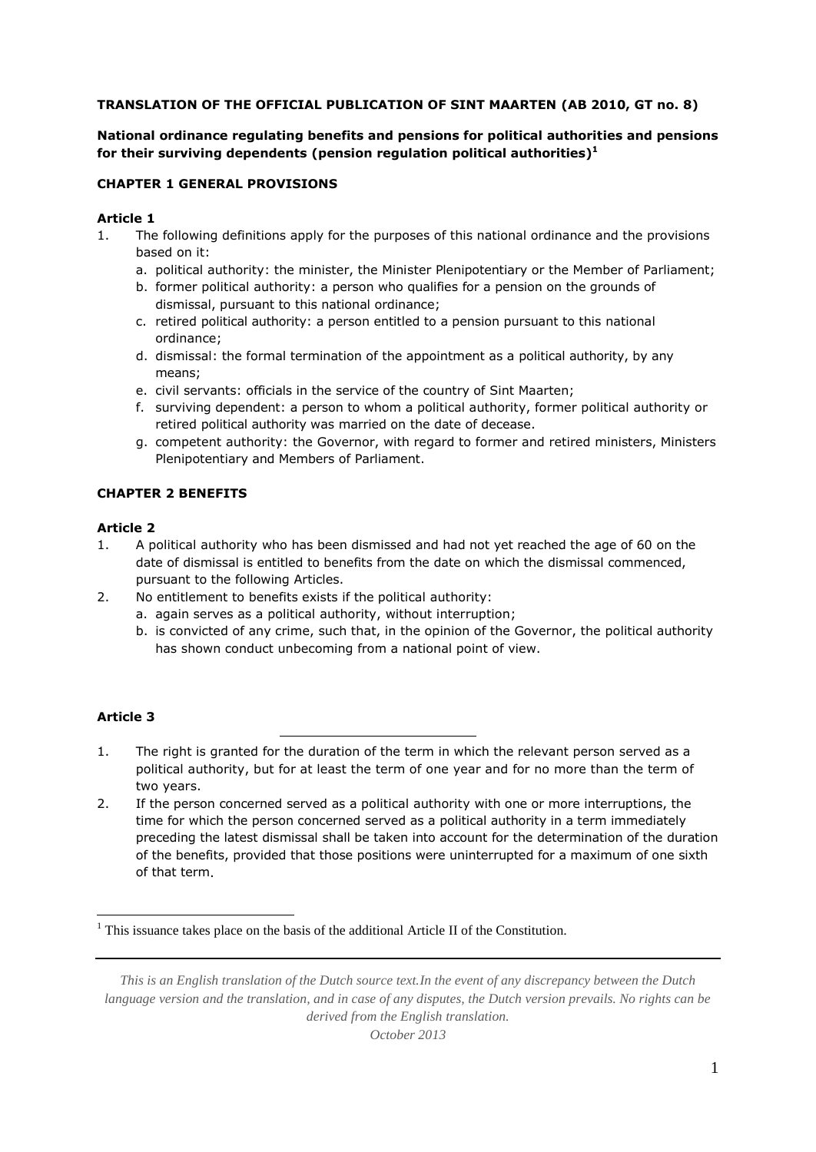### **TRANSLATION OF THE OFFICIAL PUBLICATION OF SINT MAARTEN (AB 2010, GT no. 8)**

## **National ordinance regulating benefits and pensions for political authorities and pensions for their surviving dependents (pension regulation political authorities) 1**

### **CHAPTER 1 GENERAL PROVISIONS**

#### **Article 1**

- 1. The following definitions apply for the purposes of this national ordinance and the provisions based on it:
	- a. political authority: the minister, the Minister Plenipotentiary or the Member of Parliament;
	- b. former political authority: a person who qualifies for a pension on the grounds of dismissal, pursuant to this national ordinance;
	- c. retired political authority: a person entitled to a pension pursuant to this national ordinance;
	- d. dismissal: the formal termination of the appointment as a political authority, by any means;
	- e. civil servants: officials in the service of the country of Sint Maarten;
	- f. surviving dependent: a person to whom a political authority, former political authority or retired political authority was married on the date of decease.
	- g. competent authority: the Governor, with regard to former and retired ministers, Ministers Plenipotentiary and Members of Parliament.

## **CHAPTER 2 BENEFITS**

#### **Article 2**

- 1. A political authority who has been dismissed and had not yet reached the age of 60 on the date of dismissal is entitled to benefits from the date on which the dismissal commenced, pursuant to the following Articles.
- 2. No entitlement to benefits exists if the political authority:
	- a. again serves as a political authority, without interruption;
	- b. is convicted of any crime, such that, in the opinion of the Governor, the political authority has shown conduct unbecoming from a national point of view.

### **Article 3**

1

- 1. The right is granted for the duration of the term in which the relevant person served as a political authority, but for at least the term of one year and for no more than the term of two years.
- 2. If the person concerned served as a political authority with one or more interruptions, the time for which the person concerned served as a political authority in a term immediately preceding the latest dismissal shall be taken into account for the determination of the duration of the benefits, provided that those positions were uninterrupted for a maximum of one sixth of that term.

 $<sup>1</sup>$  This issuance takes place on the basis of the additional Article II of the Constitution.</sup>

*This is an English translation of the Dutch source text.In the event of any discrepancy between the Dutch language version and the translation, and in case of any disputes, the Dutch version prevails. No rights can be derived from the English translation.*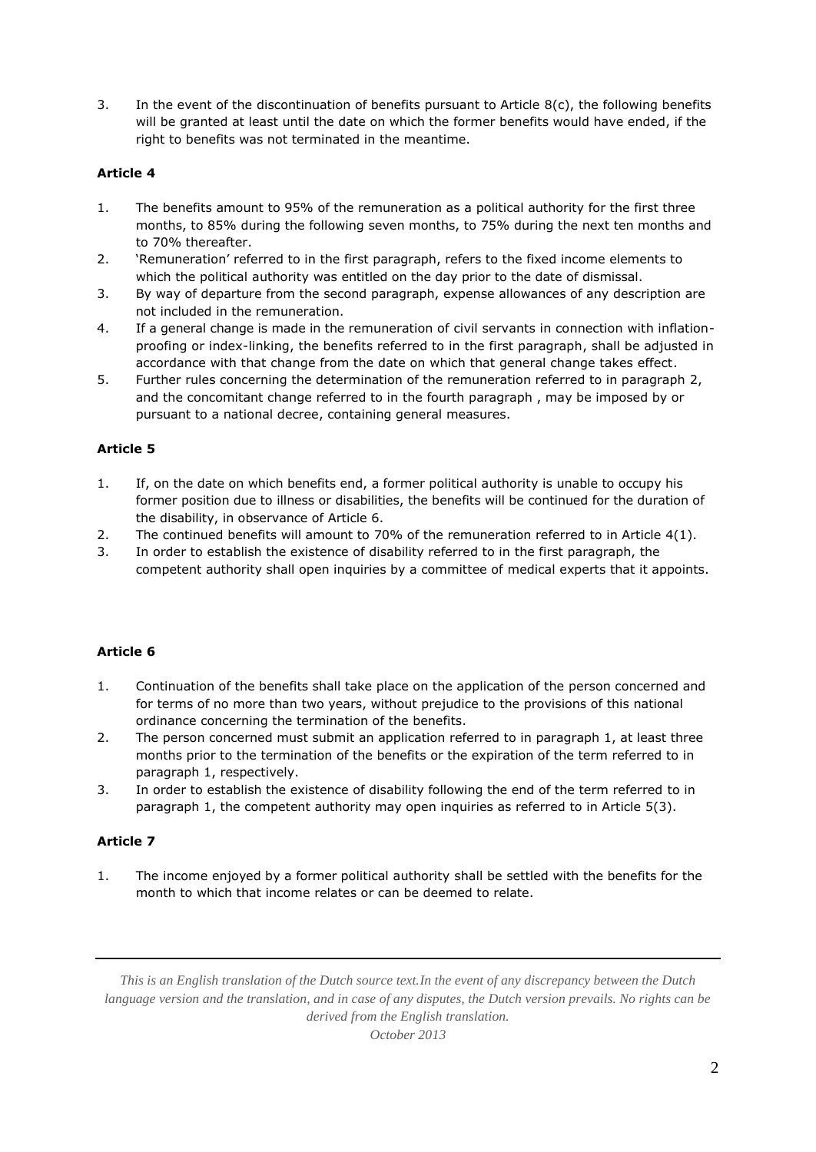3. In the event of the discontinuation of benefits pursuant to Article 8(c), the following benefits will be granted at least until the date on which the former benefits would have ended, if the right to benefits was not terminated in the meantime.

## **Article 4**

- 1. The benefits amount to 95% of the remuneration as a political authority for the first three months, to 85% during the following seven months, to 75% during the next ten months and to 70% thereafter.
- 2. 'Remuneration' referred to in the first paragraph, refers to the fixed income elements to which the political authority was entitled on the day prior to the date of dismissal.
- 3. By way of departure from the second paragraph, expense allowances of any description are not included in the remuneration.
- 4. If a general change is made in the remuneration of civil servants in connection with inflationproofing or index-linking, the benefits referred to in the first paragraph, shall be adjusted in accordance with that change from the date on which that general change takes effect.
- 5. Further rules concerning the determination of the remuneration referred to in paragraph 2, and the concomitant change referred to in the fourth paragraph , may be imposed by or pursuant to a national decree, containing general measures.

### **Article 5**

- 1. If, on the date on which benefits end, a former political authority is unable to occupy his former position due to illness or disabilities, the benefits will be continued for the duration of the disability, in observance of Article 6.
- 2. The continued benefits will amount to 70% of the remuneration referred to in Article 4(1).
- 3. In order to establish the existence of disability referred to in the first paragraph, the competent authority shall open inquiries by a committee of medical experts that it appoints.

### **Article 6**

- 1. Continuation of the benefits shall take place on the application of the person concerned and for terms of no more than two years, without prejudice to the provisions of this national ordinance concerning the termination of the benefits.
- 2. The person concerned must submit an application referred to in paragraph 1, at least three months prior to the termination of the benefits or the expiration of the term referred to in paragraph 1, respectively.
- 3. In order to establish the existence of disability following the end of the term referred to in paragraph 1, the competent authority may open inquiries as referred to in Article 5(3).

### **Article 7**

1. The income enjoyed by a former political authority shall be settled with the benefits for the month to which that income relates or can be deemed to relate.

*This is an English translation of the Dutch source text.In the event of any discrepancy between the Dutch language version and the translation, and in case of any disputes, the Dutch version prevails. No rights can be derived from the English translation.*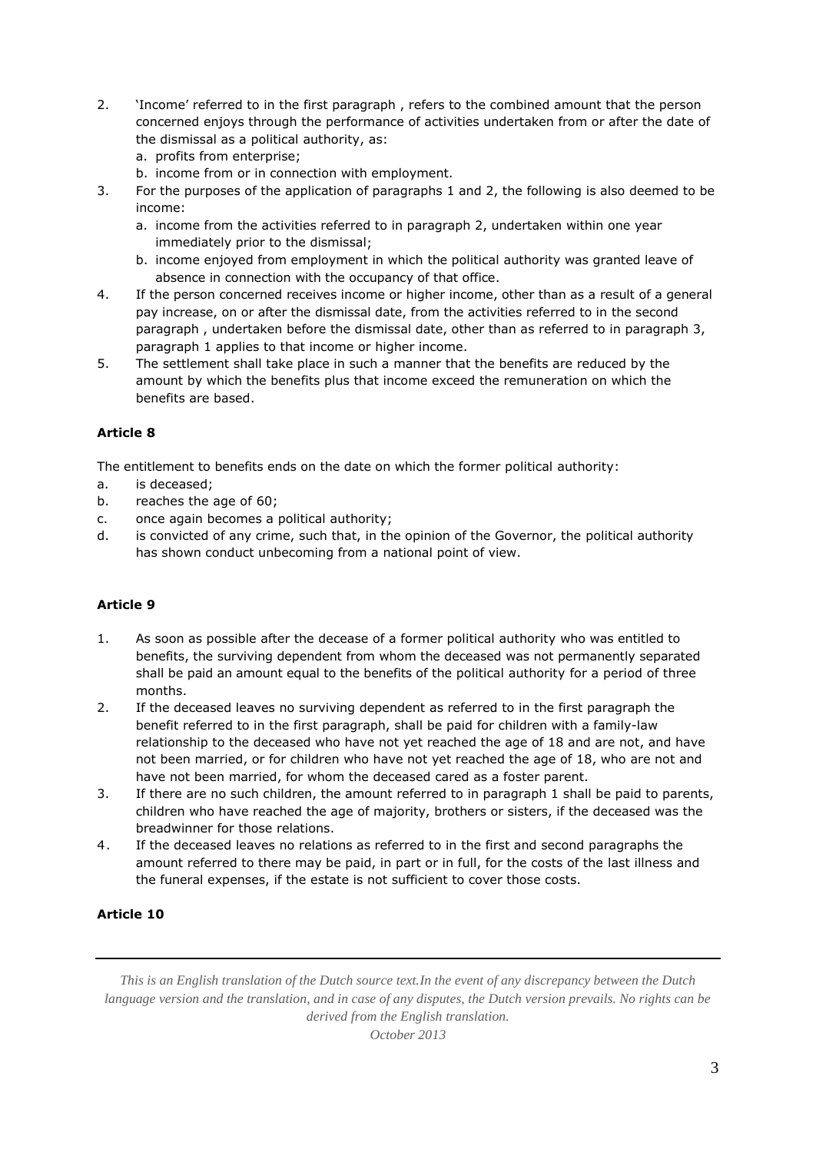- 2. 'Income' referred to in the first paragraph , refers to the combined amount that the person concerned enjoys through the performance of activities undertaken from or after the date of the dismissal as a political authority, as:
	- a. profits from enterprise;
	- b. income from or in connection with employment.
- 3. For the purposes of the application of paragraphs 1 and 2, the following is also deemed to be income:
	- a. income from the activities referred to in paragraph 2, undertaken within one year immediately prior to the dismissal;
	- b. income enjoyed from employment in which the political authority was granted leave of absence in connection with the occupancy of that office.
- 4. If the person concerned receives income or higher income, other than as a result of a general pay increase, on or after the dismissal date, from the activities referred to in the second paragraph , undertaken before the dismissal date, other than as referred to in paragraph 3, paragraph 1 applies to that income or higher income.
- 5. The settlement shall take place in such a manner that the benefits are reduced by the amount by which the benefits plus that income exceed the remuneration on which the benefits are based.

The entitlement to benefits ends on the date on which the former political authority:

- a. is deceased;
- b. reaches the age of 60;
- c. once again becomes a political authority;
- d. is convicted of any crime, such that, in the opinion of the Governor, the political authority has shown conduct unbecoming from a national point of view.

# **Article 9**

- 1. As soon as possible after the decease of a former political authority who was entitled to benefits, the surviving dependent from whom the deceased was not permanently separated shall be paid an amount equal to the benefits of the political authority for a period of three months.
- 2. If the deceased leaves no surviving dependent as referred to in the first paragraph the benefit referred to in the first paragraph, shall be paid for children with a family-law relationship to the deceased who have not yet reached the age of 18 and are not, and have not been married, or for children who have not yet reached the age of 18, who are not and have not been married, for whom the deceased cared as a foster parent.
- 3. If there are no such children, the amount referred to in paragraph 1 shall be paid to parents, children who have reached the age of majority, brothers or sisters, if the deceased was the breadwinner for those relations.
- 4. If the deceased leaves no relations as referred to in the first and second paragraphs the amount referred to there may be paid, in part or in full, for the costs of the last illness and the funeral expenses, if the estate is not sufficient to cover those costs.

# **Article 10**

*This is an English translation of the Dutch source text.In the event of any discrepancy between the Dutch language version and the translation, and in case of any disputes, the Dutch version prevails. No rights can be derived from the English translation.*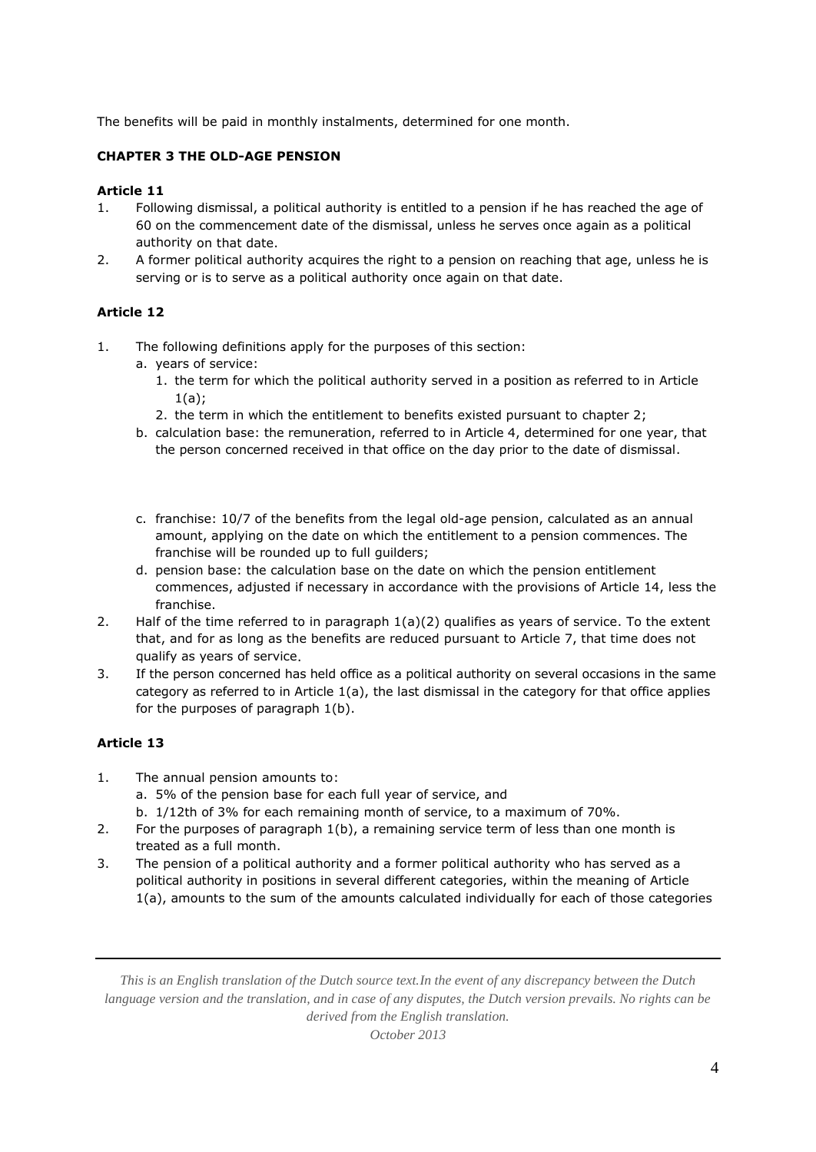The benefits will be paid in monthly instalments, determined for one month.

# **CHAPTER 3 THE OLD-AGE PENSION**

## **Article 11**

- 1. Following dismissal, a political authority is entitled to a pension if he has reached the age of 60 on the commencement date of the dismissal, unless he serves once again as a political authority on that date.
- 2. A former political authority acquires the right to a pension on reaching that age, unless he is serving or is to serve as a political authority once again on that date.

### **Article 12**

- 1. The following definitions apply for the purposes of this section:
	- a. years of service:
		- 1. the term for which the political authority served in a position as referred to in Article 1(a);
		- 2. the term in which the entitlement to benefits existed pursuant to chapter 2;
	- b. calculation base: the remuneration, referred to in Article 4, determined for one year, that the person concerned received in that office on the day prior to the date of dismissal.
	- c. franchise: 10/7 of the benefits from the legal old-age pension, calculated as an annual amount, applying on the date on which the entitlement to a pension commences. The franchise will be rounded up to full guilders;
	- d. pension base: the calculation base on the date on which the pension entitlement commences, adjusted if necessary in accordance with the provisions of Article 14, less the franchise.
- 2. Half of the time referred to in paragraph  $1(a)(2)$  qualifies as years of service. To the extent that, and for as long as the benefits are reduced pursuant to Article 7, that time does not qualify as years of service.
- 3. If the person concerned has held office as a political authority on several occasions in the same category as referred to in Article  $1(a)$ , the last dismissal in the category for that office applies for the purposes of paragraph 1(b).

# **Article 13**

- 1. The annual pension amounts to:
	- a. 5% of the pension base for each full year of service, and
	- b. 1/12th of 3% for each remaining month of service, to a maximum of 70%.
- 2. For the purposes of paragraph 1(b), a remaining service term of less than one month is treated as a full month.
- 3. The pension of a political authority and a former political authority who has served as a political authority in positions in several different categories, within the meaning of Article 1(a), amounts to the sum of the amounts calculated individually for each of those categories

*This is an English translation of the Dutch source text.In the event of any discrepancy between the Dutch language version and the translation, and in case of any disputes, the Dutch version prevails. No rights can be derived from the English translation.*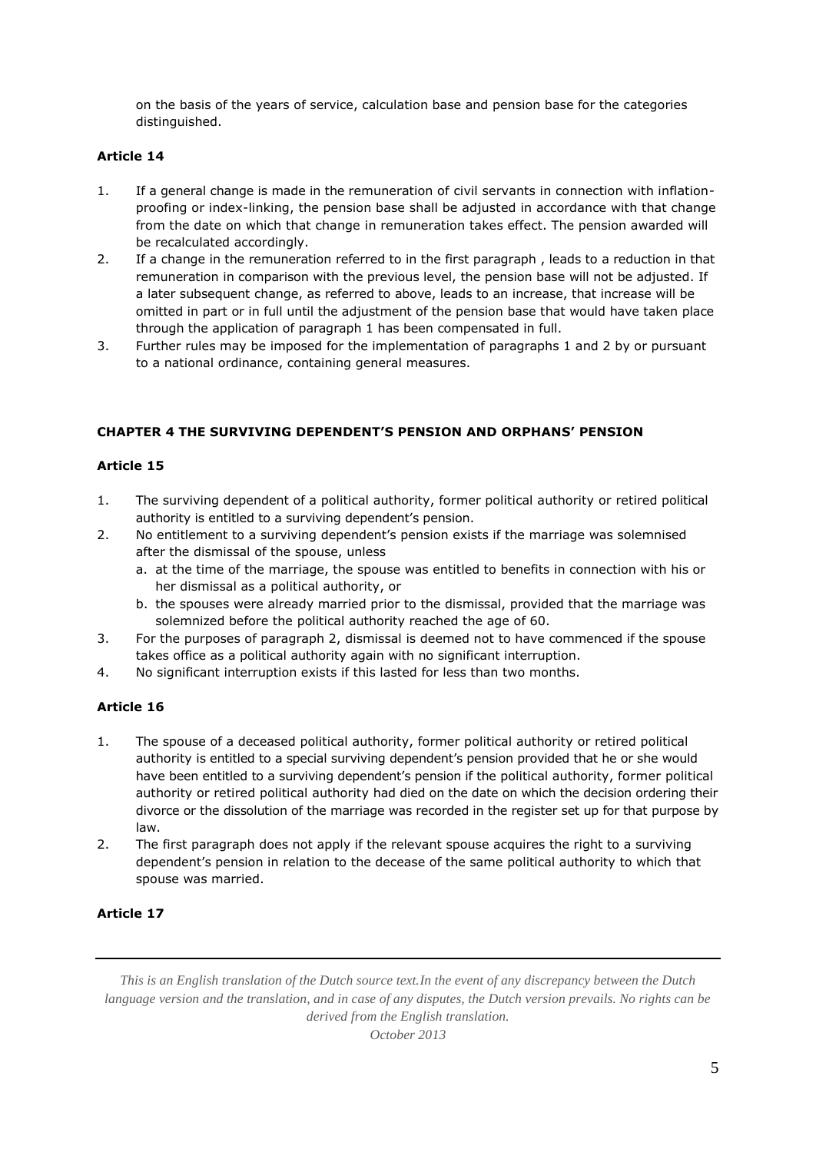on the basis of the years of service, calculation base and pension base for the categories distinguished.

## **Article 14**

- 1. If a general change is made in the remuneration of civil servants in connection with inflationproofing or index-linking, the pension base shall be adjusted in accordance with that change from the date on which that change in remuneration takes effect. The pension awarded will be recalculated accordingly.
- 2. If a change in the remuneration referred to in the first paragraph , leads to a reduction in that remuneration in comparison with the previous level, the pension base will not be adjusted. If a later subsequent change, as referred to above, leads to an increase, that increase will be omitted in part or in full until the adjustment of the pension base that would have taken place through the application of paragraph 1 has been compensated in full.
- 3. Further rules may be imposed for the implementation of paragraphs 1 and 2 by or pursuant to a national ordinance, containing general measures.

### **CHAPTER 4 THE SURVIVING DEPENDENT'S PENSION AND ORPHANS' PENSION**

### **Article 15**

- 1. The surviving dependent of a political authority, former political authority or retired political authority is entitled to a surviving dependent's pension.
- 2. No entitlement to a surviving dependent's pension exists if the marriage was solemnised after the dismissal of the spouse, unless
	- a. at the time of the marriage, the spouse was entitled to benefits in connection with his or her dismissal as a political authority, or
	- b. the spouses were already married prior to the dismissal, provided that the marriage was solemnized before the political authority reached the age of 60.
- 3. For the purposes of paragraph 2, dismissal is deemed not to have commenced if the spouse takes office as a political authority again with no significant interruption.
- 4. No significant interruption exists if this lasted for less than two months.

### **Article 16**

- 1. The spouse of a deceased political authority, former political authority or retired political authority is entitled to a special surviving dependent's pension provided that he or she would have been entitled to a surviving dependent's pension if the political authority, former political authority or retired political authority had died on the date on which the decision ordering their divorce or the dissolution of the marriage was recorded in the register set up for that purpose by law.
- 2. The first paragraph does not apply if the relevant spouse acquires the right to a surviving dependent's pension in relation to the decease of the same political authority to which that spouse was married.

### **Article 17**

*This is an English translation of the Dutch source text.In the event of any discrepancy between the Dutch language version and the translation, and in case of any disputes, the Dutch version prevails. No rights can be derived from the English translation.*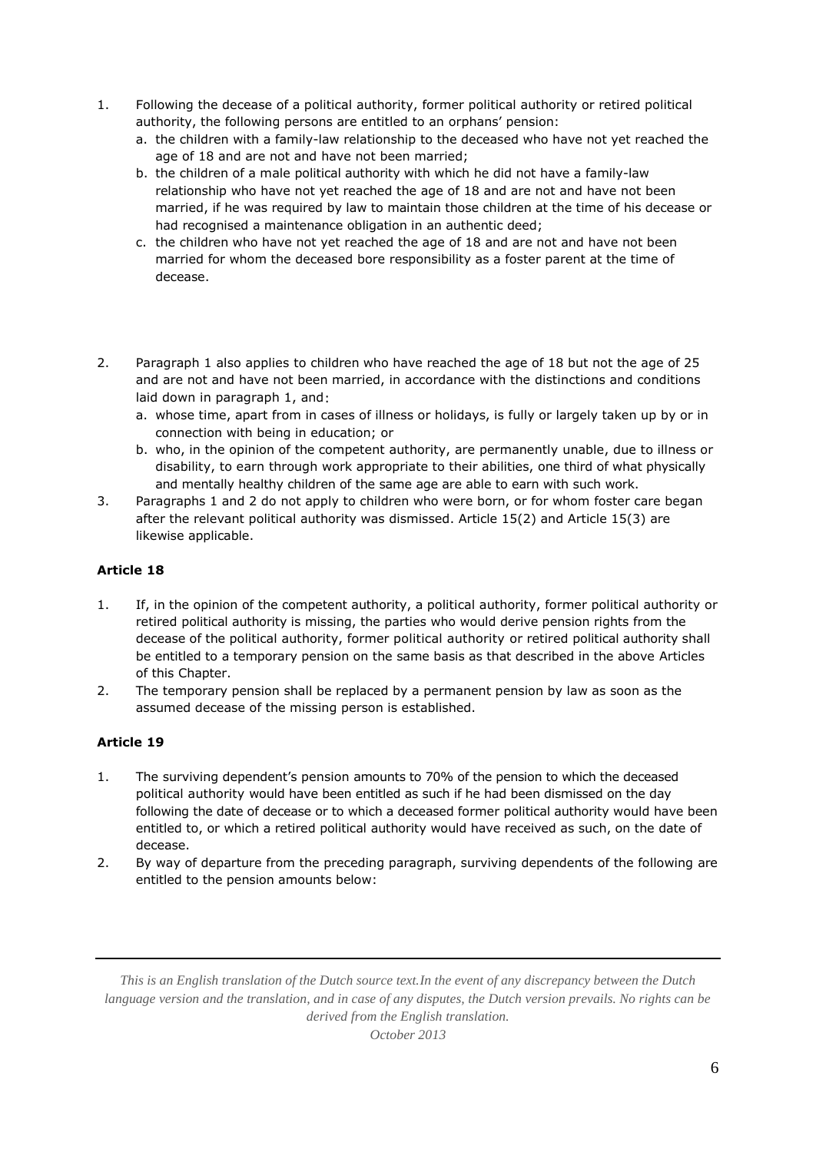- 1. Following the decease of a political authority, former political authority or retired political authority, the following persons are entitled to an orphans' pension:
	- a. the children with a family-law relationship to the deceased who have not yet reached the age of 18 and are not and have not been married;
	- b. the children of a male political authority with which he did not have a family-law relationship who have not yet reached the age of 18 and are not and have not been married, if he was required by law to maintain those children at the time of his decease or had recognised a maintenance obligation in an authentic deed;
	- c. the children who have not yet reached the age of 18 and are not and have not been married for whom the deceased bore responsibility as a foster parent at the time of decease.
- 2. Paragraph 1 also applies to children who have reached the age of 18 but not the age of 25 and are not and have not been married, in accordance with the distinctions and conditions laid down in paragraph 1, and:
	- a. whose time, apart from in cases of illness or holidays, is fully or largely taken up by or in connection with being in education; or
	- b. who, in the opinion of the competent authority, are permanently unable, due to illness or disability, to earn through work appropriate to their abilities, one third of what physically and mentally healthy children of the same age are able to earn with such work.
- 3. Paragraphs 1 and 2 do not apply to children who were born, or for whom foster care began after the relevant political authority was dismissed. Article 15(2) and Article 15(3) are likewise applicable.

- 1. If, in the opinion of the competent authority, a political authority, former political authority or retired political authority is missing, the parties who would derive pension rights from the decease of the political authority, former political authority or retired political authority shall be entitled to a temporary pension on the same basis as that described in the above Articles of this Chapter.
- 2. The temporary pension shall be replaced by a permanent pension by law as soon as the assumed decease of the missing person is established.

# **Article 19**

- 1. The surviving dependent's pension amounts to 70% of the pension to which the deceased political authority would have been entitled as such if he had been dismissed on the day following the date of decease or to which a deceased former political authority would have been entitled to, or which a retired political authority would have received as such, on the date of decease.
- 2. By way of departure from the preceding paragraph, surviving dependents of the following are entitled to the pension amounts below:

*This is an English translation of the Dutch source text.In the event of any discrepancy between the Dutch language version and the translation, and in case of any disputes, the Dutch version prevails. No rights can be derived from the English translation.*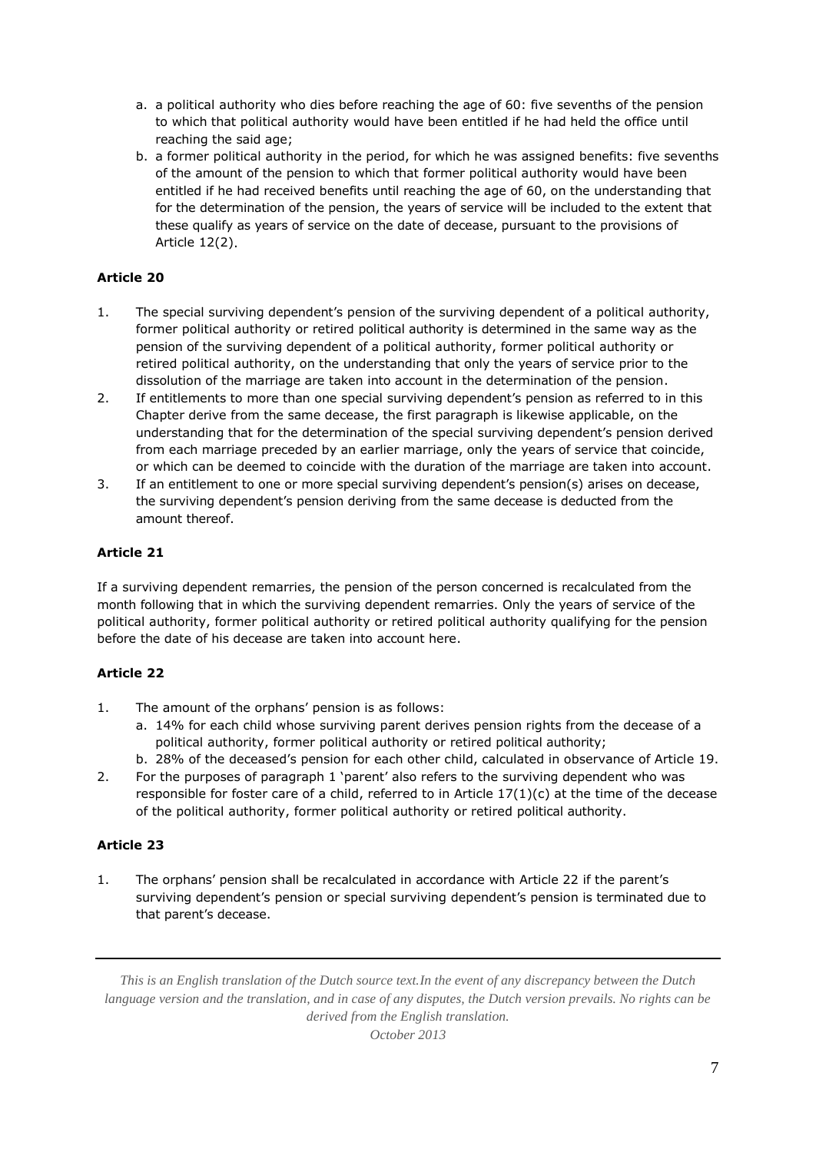- a. a political authority who dies before reaching the age of 60: five sevenths of the pension to which that political authority would have been entitled if he had held the office until reaching the said age;
- b. a former political authority in the period, for which he was assigned benefits: five sevenths of the amount of the pension to which that former political authority would have been entitled if he had received benefits until reaching the age of 60, on the understanding that for the determination of the pension, the years of service will be included to the extent that these qualify as years of service on the date of decease, pursuant to the provisions of Article 12(2).

- 1. The special surviving dependent's pension of the surviving dependent of a political authority, former political authority or retired political authority is determined in the same way as the pension of the surviving dependent of a political authority, former political authority or retired political authority, on the understanding that only the years of service prior to the dissolution of the marriage are taken into account in the determination of the pension.
- 2. If entitlements to more than one special surviving dependent's pension as referred to in this Chapter derive from the same decease, the first paragraph is likewise applicable, on the understanding that for the determination of the special surviving dependent's pension derived from each marriage preceded by an earlier marriage, only the years of service that coincide, or which can be deemed to coincide with the duration of the marriage are taken into account.
- 3. If an entitlement to one or more special surviving dependent's pension(s) arises on decease, the surviving dependent's pension deriving from the same decease is deducted from the amount thereof.

# **Article 21**

If a surviving dependent remarries, the pension of the person concerned is recalculated from the month following that in which the surviving dependent remarries. Only the years of service of the political authority, former political authority or retired political authority qualifying for the pension before the date of his decease are taken into account here.

# **Article 22**

- 1. The amount of the orphans' pension is as follows:
	- a. 14% for each child whose surviving parent derives pension rights from the decease of a political authority, former political authority or retired political authority;
	- b. 28% of the deceased's pension for each other child, calculated in observance of Article 19.
- 2. For the purposes of paragraph 1 'parent' also refers to the surviving dependent who was responsible for foster care of a child, referred to in Article  $17(1)(c)$  at the time of the decease of the political authority, former political authority or retired political authority.

### **Article 23**

1. The orphans' pension shall be recalculated in accordance with Article 22 if the parent's surviving dependent's pension or special surviving dependent's pension is terminated due to that parent's decease.

*This is an English translation of the Dutch source text.In the event of any discrepancy between the Dutch language version and the translation, and in case of any disputes, the Dutch version prevails. No rights can be derived from the English translation.*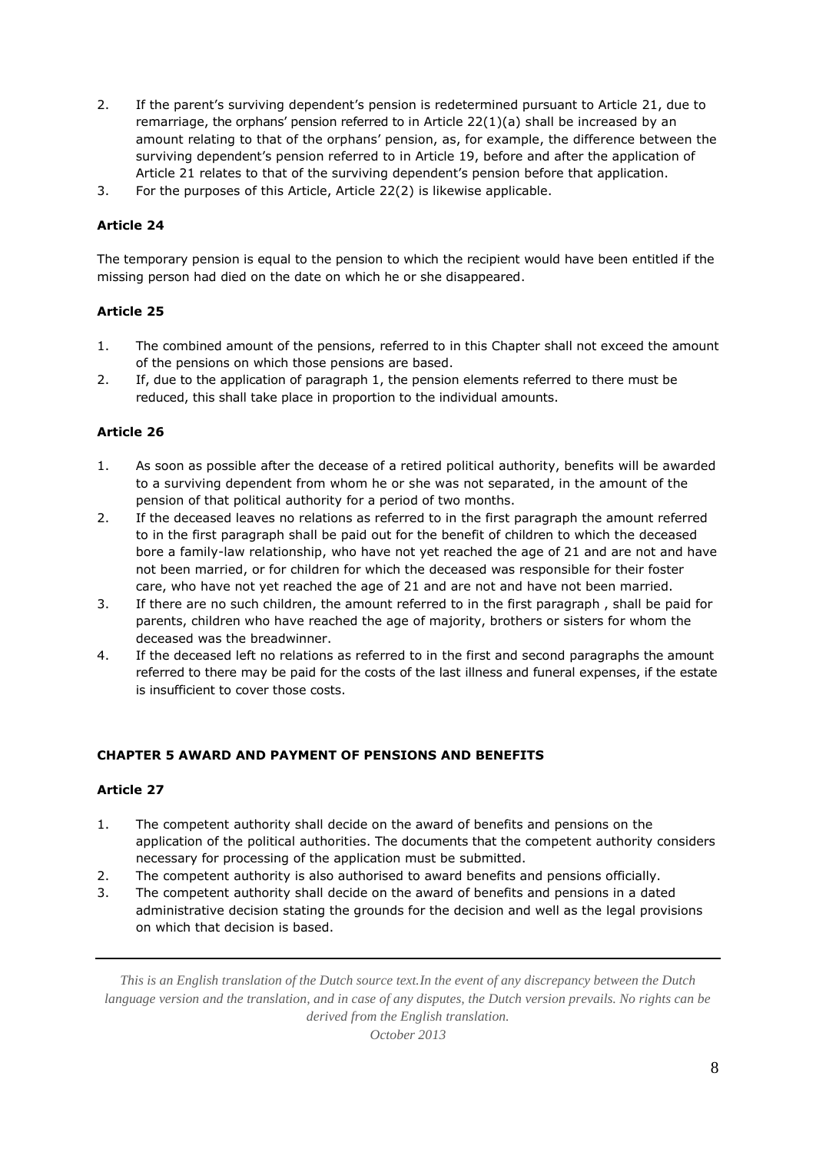- 2. If the parent's surviving dependent's pension is redetermined pursuant to Article 21, due to remarriage, the orphans' pension referred to in Article  $22(1)(a)$  shall be increased by an amount relating to that of the orphans' pension, as, for example, the difference between the surviving dependent's pension referred to in Article 19, before and after the application of Article 21 relates to that of the surviving dependent's pension before that application.
- 3. For the purposes of this Article, Article 22(2) is likewise applicable.

The temporary pension is equal to the pension to which the recipient would have been entitled if the missing person had died on the date on which he or she disappeared.

## **Article 25**

- 1. The combined amount of the pensions, referred to in this Chapter shall not exceed the amount of the pensions on which those pensions are based.
- 2. If, due to the application of paragraph 1, the pension elements referred to there must be reduced, this shall take place in proportion to the individual amounts.

### **Article 26**

- 1. As soon as possible after the decease of a retired political authority, benefits will be awarded to a surviving dependent from whom he or she was not separated, in the amount of the pension of that political authority for a period of two months.
- 2. If the deceased leaves no relations as referred to in the first paragraph the amount referred to in the first paragraph shall be paid out for the benefit of children to which the deceased bore a family-law relationship, who have not yet reached the age of 21 and are not and have not been married, or for children for which the deceased was responsible for their foster care, who have not yet reached the age of 21 and are not and have not been married.
- 3. If there are no such children, the amount referred to in the first paragraph , shall be paid for parents, children who have reached the age of majority, brothers or sisters for whom the deceased was the breadwinner.
- 4. If the deceased left no relations as referred to in the first and second paragraphs the amount referred to there may be paid for the costs of the last illness and funeral expenses, if the estate is insufficient to cover those costs.

### **CHAPTER 5 AWARD AND PAYMENT OF PENSIONS AND BENEFITS**

### **Article 27**

- 1. The competent authority shall decide on the award of benefits and pensions on the application of the political authorities. The documents that the competent authority considers necessary for processing of the application must be submitted.
- 2. The competent authority is also authorised to award benefits and pensions officially.
- 3. The competent authority shall decide on the award of benefits and pensions in a dated administrative decision stating the grounds for the decision and well as the legal provisions on which that decision is based.

*This is an English translation of the Dutch source text.In the event of any discrepancy between the Dutch language version and the translation, and in case of any disputes, the Dutch version prevails. No rights can be derived from the English translation.*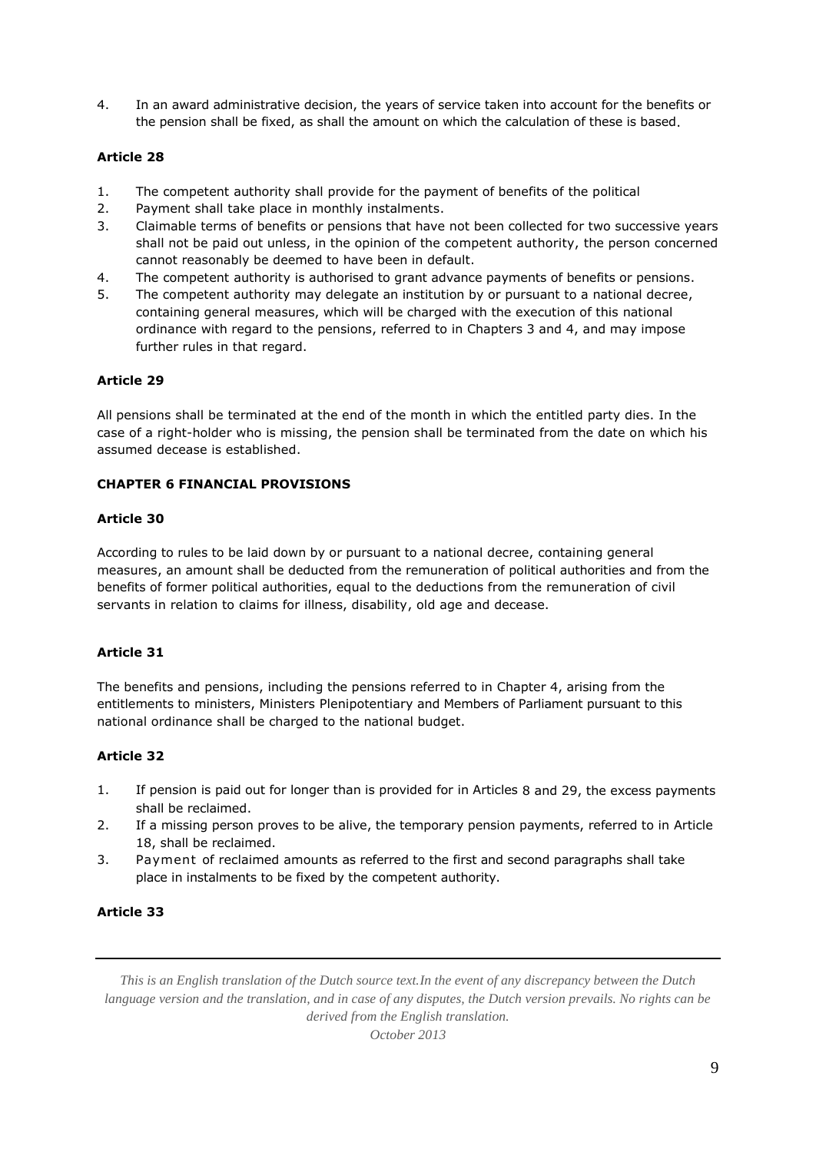4. In an award administrative decision, the years of service taken into account for the benefits or the pension shall be fixed, as shall the amount on which the calculation of these is based.

## **Article 28**

- 1. The competent authority shall provide for the payment of benefits of the political
- 2. Payment shall take place in monthly instalments.
- 3. Claimable terms of benefits or pensions that have not been collected for two successive years shall not be paid out unless, in the opinion of the competent authority, the person concerned cannot reasonably be deemed to have been in default.
- 4. The competent authority is authorised to grant advance payments of benefits or pensions.
- 5. The competent authority may delegate an institution by or pursuant to a national decree, containing general measures, which will be charged with the execution of this national ordinance with regard to the pensions, referred to in Chapters 3 and 4, and may impose further rules in that regard.

#### **Article 29**

All pensions shall be terminated at the end of the month in which the entitled party dies. In the case of a right-holder who is missing, the pension shall be terminated from the date on which his assumed decease is established.

### **CHAPTER 6 FINANCIAL PROVISIONS**

#### **Article 30**

According to rules to be laid down by or pursuant to a national decree, containing general measures, an amount shall be deducted from the remuneration of political authorities and from the benefits of former political authorities, equal to the deductions from the remuneration of civil servants in relation to claims for illness, disability, old age and decease.

### **Article 31**

The benefits and pensions, including the pensions referred to in Chapter 4, arising from the entitlements to ministers, Ministers Plenipotentiary and Members of Parliament pursuant to this national ordinance shall be charged to the national budget.

### **Article 32**

- 1. If pension is paid out for longer than is provided for in Articles 8 and 29, the excess payments shall be reclaimed.
- 2. If a missing person proves to be alive, the temporary pension payments, referred to in Article 18, shall be reclaimed.
- 3. Payment of reclaimed amounts as referred to the first and second paragraphs shall take place in instalments to be fixed by the competent authority.

#### **Article 33**

*This is an English translation of the Dutch source text.In the event of any discrepancy between the Dutch language version and the translation, and in case of any disputes, the Dutch version prevails. No rights can be derived from the English translation.*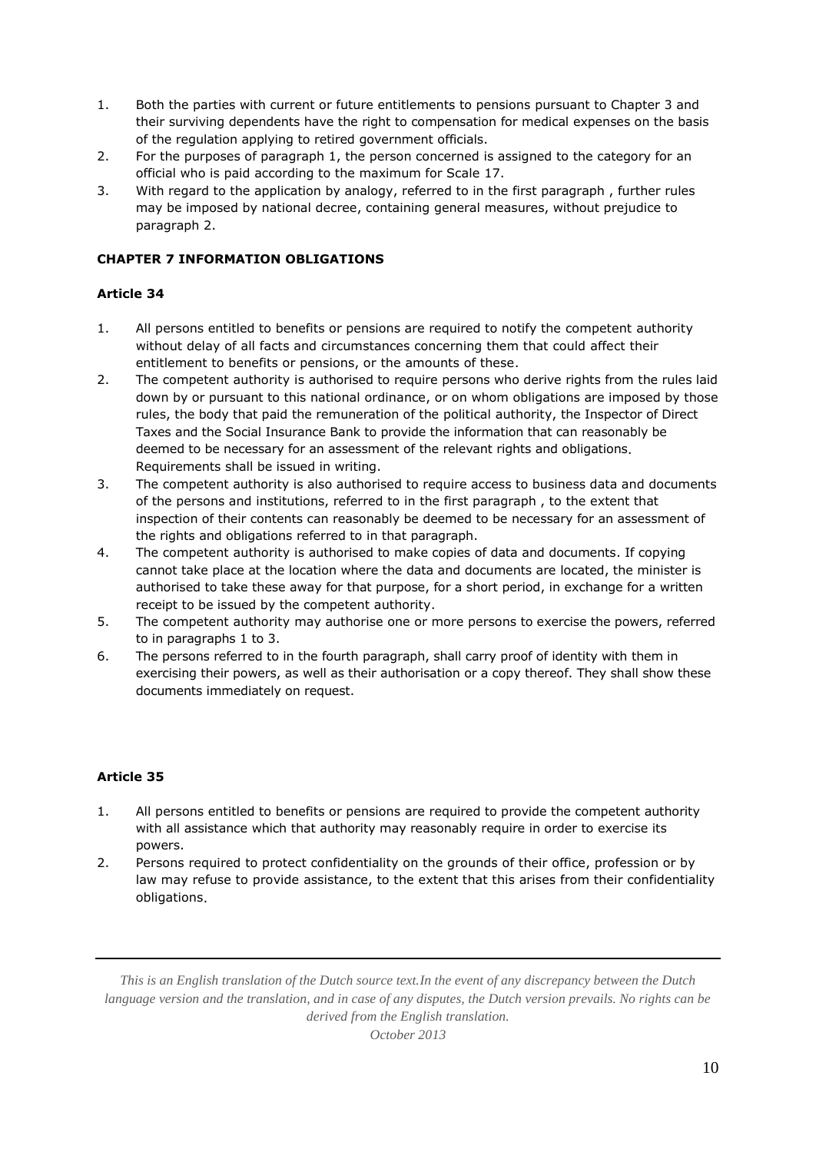- 1. Both the parties with current or future entitlements to pensions pursuant to Chapter 3 and their surviving dependents have the right to compensation for medical expenses on the basis of the regulation applying to retired government officials.
- 2. For the purposes of paragraph 1, the person concerned is assigned to the category for an official who is paid according to the maximum for Scale 17.
- 3. With regard to the application by analogy, referred to in the first paragraph , further rules may be imposed by national decree, containing general measures, without prejudice to paragraph 2.

# **CHAPTER 7 INFORMATION OBLIGATIONS**

## **Article 34**

- 1. All persons entitled to benefits or pensions are required to notify the competent authority without delay of all facts and circumstances concerning them that could affect their entitlement to benefits or pensions, or the amounts of these.
- 2. The competent authority is authorised to require persons who derive rights from the rules laid down by or pursuant to this national ordinance, or on whom obligations are imposed by those rules, the body that paid the remuneration of the political authority, the Inspector of Direct Taxes and the Social Insurance Bank to provide the information that can reasonably be deemed to be necessary for an assessment of the relevant rights and obligations. Requirements shall be issued in writing.
- 3. The competent authority is also authorised to require access to business data and documents of the persons and institutions, referred to in the first paragraph , to the extent that inspection of their contents can reasonably be deemed to be necessary for an assessment of the rights and obligations referred to in that paragraph.
- 4. The competent authority is authorised to make copies of data and documents. If copying cannot take place at the location where the data and documents are located, the minister is authorised to take these away for that purpose, for a short period, in exchange for a written receipt to be issued by the competent authority.
- 5. The competent authority may authorise one or more persons to exercise the powers, referred to in paragraphs 1 to 3.
- 6. The persons referred to in the fourth paragraph, shall carry proof of identity with them in exercising their powers, as well as their authorisation or a copy thereof. They shall show these documents immediately on request.

# **Article 35**

- 1. All persons entitled to benefits or pensions are required to provide the competent authority with all assistance which that authority may reasonably require in order to exercise its powers.
- 2. Persons required to protect confidentiality on the grounds of their office, profession or by law may refuse to provide assistance, to the extent that this arises from their confidentiality obligations.

*This is an English translation of the Dutch source text.In the event of any discrepancy between the Dutch language version and the translation, and in case of any disputes, the Dutch version prevails. No rights can be derived from the English translation.*